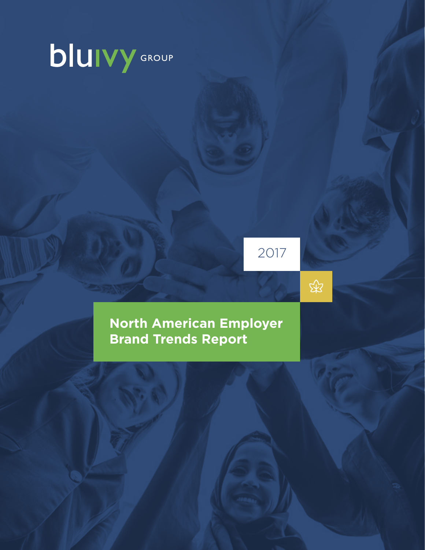# **bluivy** GROUP

2017

 $\mathbb{R}$ 

**North American Employer Brand Trends Report**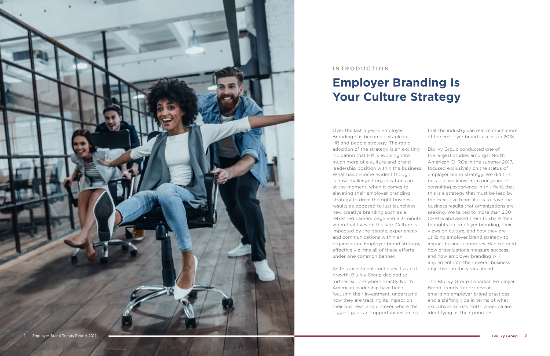

Over the last 5 years Employer Branding has become a staple in HR and people strategy. The rapid adoption of the strategy is an exciting indication that HR is evolving into much more of a culture and brand leadership position within the business. What has become evident though, is how challenged organizations are at the moment, when it comes to elevating their employer branding strategy to drive the right business results as opposed to just launching new creative branding such as a refreshed careers page and a 3-minute video that lives on the site. Culture is impacted by the people, experiences and communications within an organization. Employer brand strategy effectively aligns all of these efforts under one common banner.

As this investment continues its rapid growth, Blu Ivy Group decided to further explore where exactly North American leadership have been focusing their investment, understand how they are tracking its impact on their business, and uncover where the biggest gaps and opportunities are so that the industry can realize much more of the employer brand success in 2018.

Blu Ivy Group conducted one of the largest studies amongst North American CHROs in the summer 2017, focused exclusively on the status of employer brand strategy. We did this because we know from our years of consulting experience in this field, that this is a strategy that must be lead by the executive team, if it is to have the business results that organizations are seeking. We talked to more than 200 CHROs and asked them to share their thoughts on employer branding, their views on culture, and how they are utilizing employer brand strategy to impact business priorities. We explored how organizations measure success, and how employer branding will implement into their overall business objectives in the years ahead.

The Blu Ivy Group Canadian Employer Brand Trends Report reveals emerging employer brand practices and a shifting tide in terms of what executives across North America are identifying as their priorities.

#### INTRODUCTION

## **Employer Branding Is Your Culture Strategy**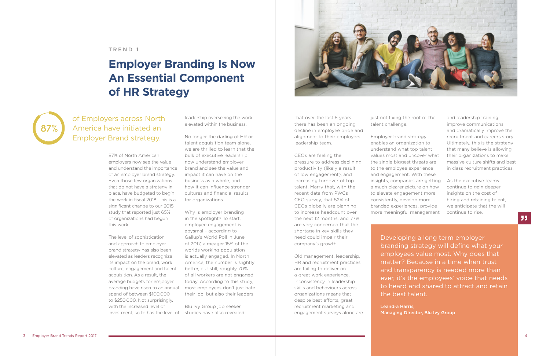87% of North American employers now see the value and understand the importance of an employer brand strategy. Even those few organizations that do not have a strategy in place, have budgeted to begin the work in fiscal 2018. This is a significant change to our 2015 study that reported just 65% of organizations had begun this work.

The level of sophistication and approach to employer brand strategy has also been elevated as leaders recognize its impact on the brand, work culture, engagement and talent acquisition. As a result, the average budgets for employer branding have risen to an annual spend of between \$100,000 to \$250,000. Not surprisingly, with the increased level of investment, so to has the level of leadership overseeing the work elevated within the business.

No longer the darling of HR or talent acquisition team alone, we are thrilled to learn that the bulk of executive leadership now understand employer brand and see the value and impact it can have on the business as a whole, and how it can influence stronger cultures and financial results for organizations.

Why is employer branding in the spotlight? To start, employee engagement is abysmal – according to Gallup's World Poll in June of 2017, a meager 15% of the worlds working population is actually engaged. In North America, the number is slightly better, but still, roughly 70% of all workers are not engaged today. According to this study, most employees don't just hate their job, but also their leaders.

Blu Ivy Group job seeker studies have also revealed



that over the last 5 years there has been an ongoing decline in employee pride and alignment to their employers leadership team.

CEOs are feeling the pressure to address declining productivity (likely a result of low engagement), and increasing turnover of top talent. Marry that, with the recent data from PWCs CEO survey, that 52% of CEOs globally are planning to increase headcount over the next 12 months, and 77% are very concerned that the shortage in key skills they need could impair their company's growth.

Old management, leadership, HR and recruitment practices, are failing to deliver on a great work experience. Inconsistency in leadership skills and behaviours across organizations means that despite best efforts, great recruitment marketing and engagement surveys alone are just not fixing the root of the talent challenge.

Employer brand strategy enables an organization to understand what top talent values most and uncover what the single biggest threats are to the employee experience and engagement. With these insights, companies are getting a much clearer picture on how to elevate engagement more consistently, develop more branded experiences, provide more meaningful management

and leadership training, improve communications and dramatically improve the recruitment and careers story. Ultimately, this is the strategy that many believe is allowing their organizations to make massive culture shifts and best in class recruitment practices.

As the executive teams continue to gain deeper insights on the cost of hiring and retaining talent, we anticipate that the will continue to rise.

of Employers across North America have initiated an Employer Brand strategy.



Developing a long term employer branding strategy will define what your employees value most. Why does that matter? Because in a time when trust and transparency is needed more than ever, it's the employees' voice that needs to heard and shared to attract and retain

the best talent.

Leandra Harris, Managing Director, Blu Ivy Group

#### TREND 1

## **Employer Branding Is Now An Essential Component of HR Strategy**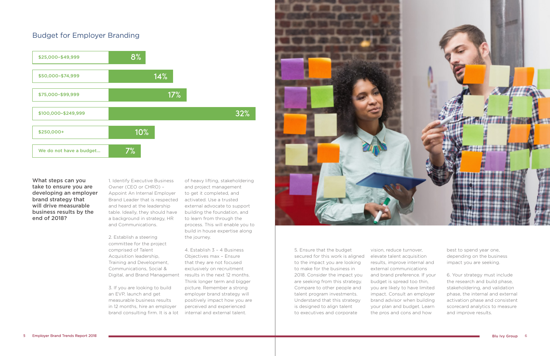What steps can you take to ensure you are developing an employer brand strategy that will drive measurable business results by the end of 2018?

1. Identify Executive Business Owner (CEO or CHRO) – Appoint An Internal Employer Brand Leader that is respected and heard at the leadership table. Ideally, they should have a background in strategy, HR and Communications.

2. Establish a steering committee for the project comprised of Talent Acquisition leadership, Training and Development, Communications, Social & Digital, and Brand Management

3. If you are looking to build an EVP, launch and get measurable business results in 12 months, hire an employer brand consulting firm. It is a lot of heavy lifting, stakeholdering and project management to get it completed, and activated. Use a trusted external advocate to support building the foundation, and to learn from through the process. This will enable you to build in house expertise along the journey.

4. Establish 3 – 4 Business Objectives max – Ensure that they are not focused exclusively on recruitment results in the next 12 months. Think longer term and bigger picture. Remember a strong employer brand strategy will positively impact how you are perceived and experienced internal and external talent.



5. Ensure that the budget secured for this work is aligned to the impact you are looking to make for the business in 2018. Consider the impact you are seeking from this strategy. Compare to other people and talent program investments. Understand that this strategy is designed to align talent to executives and corporate

vision, reduce turnover, elevate talent acquisition results, improve internal and external communications and brand preference. If your budget is spread too thin, you are likely to have limited impact. Consult an employer brand advisor when building your plan and budget. Learn the pros and cons and how

best to spend year one, depending on the business impact you are seeking.

6. Your strategy must include the research and build phase, stakeholdering, and validation phase, the internal and external activation phase and consistent scorecard analytics to measure and improve results.

### Budget for Employer Branding

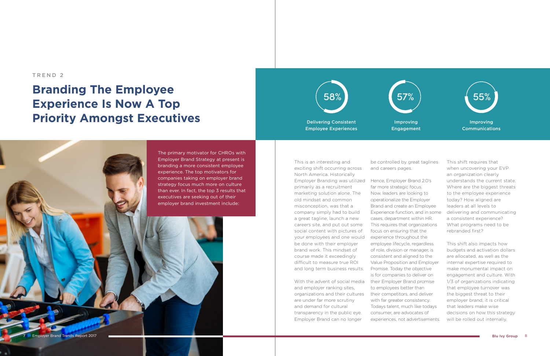This is an interesting and

exciting shift occurring across North America. Historically Employer Branding was utilized primarily as a recruitment marketing solution alone. The old mindset and common misconception, was that a company simply had to build a great tagline, launch a new careers site, and put out some social content with pictures of your employees and one would be done with their employer

brand work. This mindset of course made it exceedingly difficult to measure true ROI and long term business results.

and employer ranking sites, organizations and their cultures are under far more scrutiny and demand for cultural transparency in the public eye. Employer Brand can no longer

With the advent of social media their Employer Brand promise Hence, Employer Brand 2.0's far more strategic focus. Now, leaders are looking to operationalize the Employer Brand and create an Employee Experience function, and in some cases, department within HR. This requires that organizations focus on ensuring that the experience throughout the employee lifecycle, regardless of role, division or manager, is consistent and aligned to the Value Proposition and Employer Promise. Today the objective is for companies to deliver on to employees better than their competitors, and deliver with far greater consistency. Todays talent, much like todays consumer, are advocates of experiences, not advertisements.



be controlled by great taglines and careers pages.

This shift requires that when uncovering your EVP an organization clearly understands the current state. Where are the biggest threats to the employee experience today? How aligned are leaders at all levels to delivering and communicating a consistent experience? What programs need to be rebranded first?

This shift also impacts how budgets and activation dollars are allocated, as well as the internal expertise required to make monumental impact on engagement and culture. With 1/3 of organizations indicating that employee turnover was the biggest threat to their employer brand, it is critical that leaders make wise decisions on how this strategy will be rolled out internally.

#### TREND 2

## **Branding The Employee Experience Is Now A Top Priority Amongst Executives**

The primary motivator for CHROs with Employer Brand Strategy at present is branding a more consistent employee experience. The top motivators for companies taking on employer brand strategy focus much more on culture than ever. In fact, the top 3 results that executives are seeking out of their employer brand investment include:

Delivering Consistent Employee Experiences

Improving Engagement

#### Improving Communications

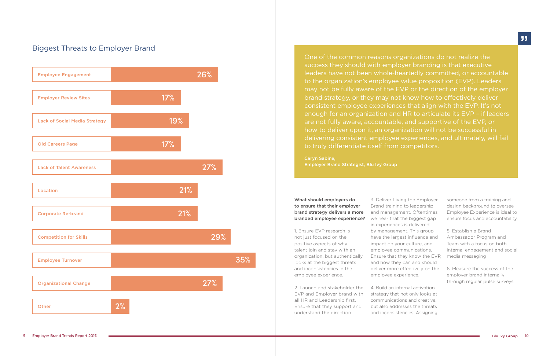One of the common reasons organizations do not realize the success they should with employer branding is that executive leaders have not been whole-heartedly committed, or accountable to the organization's employee value proposition (EVP). Leaders may not be fully aware of the EVP or the direction of the employer brand strategy, or they may not know how to effectively deliver consistent employee experiences that align with the EVP. It's not enough for an organization and HR to articulate its EVP – if leaders are not fully aware, accountable, and supportive of the EVP, or how to deliver upon it, an organization will not be successful in delivering consistent employee experiences, and ultimately, will fail to truly differentiate itself from competitors.

Caryn Sabine, Employer Brand Strategist, Blu Ivy Group

What should employers do to ensure that their employer brand strategy delivers a more branded employee experience?

1. Ensure EVP research is not just focused on the positive aspects of why talent join and stay with an organization, but authentically looks at the biggest threats and inconsistencies in the employee experience.

2. Launch and stakeholder the EVP and Employer brand with all HR and Leadership first. Ensure that they support and understand the direction

3. Deliver Living the Employer Brand training to leadership and management. Oftentimes we hear that the biggest gap in experiences is delivered by management. This group have the largest influence and impact on your culture, and employee communications. Ensure that they know the EVP, and how they can and should deliver more effectively on the employee experience.

4. Build an internal activation strategy that not only looks at communications and creative, but also addresses the threats and inconsistencies. Assigning someone from a training and design background to oversee Employee Experience is ideal to ensure focus and accountability.

5. Establish a Brand Ambassador Program and Team with a focus on both internal engagement and social media messaging

6. Measure the success of the employer brand internally through regular pulse surveys

### Biggest Threats to Employer Brand

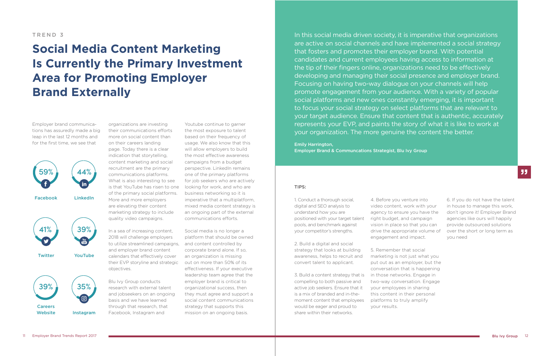organizations are investing their communications efforts more on social content than on their careers landing page. Today there is a clear indication that storytelling, content marketing and social recruitment are the primary communications platforms. What is also interesting to see is that YouTube has risen to one of the primary social platforms. More and more employers are elevating their content marketing strategy to include quality video campaigns.

In a sea of increasing content, 2018 will challenge employers to utilize streamlined campaigns, and content controlled by and employer brand content calendars that effectively cover their EVP storyline and strategic objectives.

Blu Ivy Group conducts research with external talent and jobseekers on an ongoing basis and we have learned through that research, that Facebook, Instagram and

Youtube continue to garner the most exposure to talent based on their frequency of usage. We also know that this will allow employers to build the most effective awareness campaigns from a budget perspective. LinkedIn remains one of the primary platforms for job seekers who are actively looking for work, and who are business networking so it is imperative that a multiplatform, mixed media content strategy is an ongoing part of the external communications efforts.

Social media is no longer a platform that should be owned corporate brand alone. If so, an organization is missing out on more than 50% of its effectiveness. If your executive leadership team agree that the employer brand is critical to organizational success, then they must agree and support a social content communications strategy that supports this mission on an ongoing basis.

#### TIPS:

1. Conduct a thorough social, digital and SEO analysis to understand how you are positioned with your target talent pools, and benchmark against your competitor's strengths.

2. Build a digital and social strategy that looks at building awareness, helps to recruit and convert talent to applicant.

3. Build a content strategy that is compelling to both passive and active job seekers. Ensure that it is a mix of branded and in-themoment content that employees would be eager and proud to share within their networks.

4. Before you venture into video content, work with your agency to ensure you have the right budget, and campaign vision in place so that you can drive the appropriate volume of engagement and impact.

5. Remember that social marketing is not just what you put out as an employer, but the conversation that is happening in those networks. Engage in two-way conversation. Engage your employees in sharing this content in their personal platforms to truly amplify your results.

6. If you do not have the talent in house to manage this work, don't ignore it! Employer Brand agencies like ours will happily provide outsourced solutions over the short or long term as you need

99

Employer brand communications has assuredly made a big leap in the last 12 months and for the first time, we see that

#### TREND 3

## **Social Media Content Marketing Is Currently the Primary Investment Area for Promoting Employer Brand Externally**

In this social media driven society, it is imperative that organizations are active on social channels and have implemented a social strategy that fosters and promotes their employer brand. With potential candidates and current employees having access to information at the tip of their fingers online, organizations need to be effectively developing and managing their social presence and employer brand. Focusing on having two-way dialogue on your channels will help promote engagement from your audience. With a variety of popular social platforms and new ones constantly emerging, it is important to focus your social strategy on select platforms that are relevant to your target audience. Ensure that content that is authentic, accurately represents your EVP, and paints the story of what it is like to work at your organization. The more genuine the content the better.

Emily Harrington, Employer Brand & Communcations Strategist, Blu Ivy Group

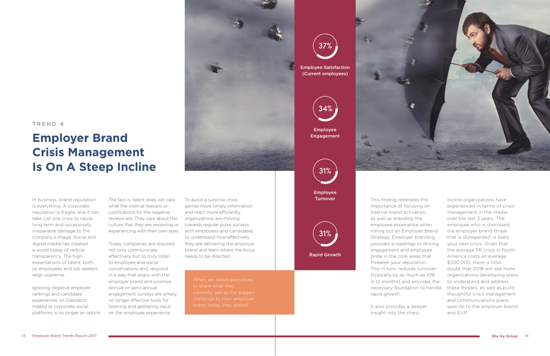In business, brand reputation is everything. A corporate reputation is fragile, and it can take just one crisis to cause long term and occasionally irreparable damage to the company's image. Social and digital media has created a world today of radical transparency. The high expectations of talent, both as employees and job seekers reign supreme.

Ignoring negative employer rankings and candidate experiences on Glassdoor, Indeed or corporate social platforms is no longer an option.

The fact is, talent does not care what the internal reasons or justifications for the negative reviews are. They care about the culture that they are reviewing or experiencing with their own eyes.

Today, companies are required not only communicate effectively, but to truly listen to employee and social conversations and, respond in a way that aligns with the employer brand and promise. Annual or semi-annual engagement surveys are simply no longer effective tools for listening and gathering input on the employee experience.

To avoid a surprise crisis, garner more timely information and react more efficiently, organizations are moving towards regular pulse surveys with employees and candidates to understand how effectively they are delivering the employer brand and learn where the focus needs to be directed.

Employee **Turnover** 

This finding reiterates the importance of focusing on internal brand activation, as well as branding the employee experience when rolling out an Employer Brand Strategy. Employer branding provides a roadmap to driving engagement and employee pride in the core areas that threaten your reputation. This in turn, reduces turnover (typically by as much as 10% in 12 months) and provides the necessary foundation to handle rapid growth.

It also provides a deeper insight into the sharp



incline organizations have experienced in terms of crisis management in the media over the last 3 years. The employee who is dismissed, the employer brand threat that is disregarded, is likely your next crisis. Given that the average PR crisis in North America costs an average \$500,000, there is little doubt that 2018 will see more organizations developing plans to understand and address these threats, as well as build thoughtful crisis management and communications plans, specific to the employer brand and EVP.

#### TREND 4

### **Employer Brand Crisis Management Is On A Steep Incline**

currently see as the biggest



(Current employees)



Employee Engagement

Rapid Growth

31%

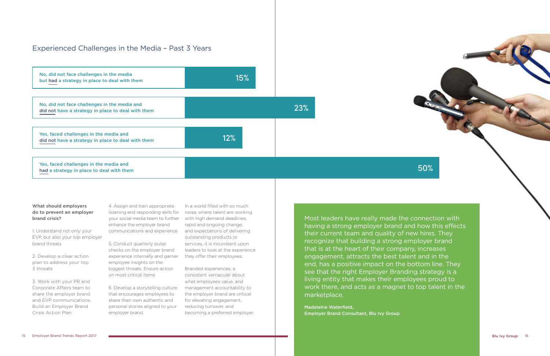# What should employers

### do to prevent an employer brand crisis?

1. Understand not only your EVP, but also your top employer brand threats

2. Develop a clear action plan to address your top 3 threats

3. Work with your PR and Corporate Affairs team to share the employer brand and EVP communications. Build an Employer Brand Crisis Action Plan

4. Assign and train appropriate listening and responding skills for noise, where talent are working your social media team to further enhance the employer brand communciations and experience

5. Conduct quarterly pulse checks on the employer brand experience internally and garner employee insights on the biggest threats. Ensure action on most critical items

6. Develop a storytelling culture that encourages employees to share their own authentic and personal stories aligned to your employer brand.

In a world filled with so much with high demand deadlines, rapid and ongoing change, and expectations of delivering outstanding products or services, it is incumbent upon leaders to look at the experience they offer their employees.

Branded experiences, a consistent vernacular about what employees value, and management accountability to the employer brand are critical for elevating engagement, reducing turnover, and becoming a preferred employer.





had a strategy in place to deal with them

#### Experienced Challenges in the Media – Past 3 Years

Most leaders have really made the connection with having a strong employer brand and how this effects their current team and quality of new hires. They recognize that building a strong employer brand that is at the heart of their company, increases engagement, attracts the best talent and in the end, has a positive impact on the bottom line. They see that the right Employer Branding strategy is a living entity that makes their employees proud to work there, and acts as a magnet to top talent in the marketplace.

Madeleine Waterfield, Employer Brand Consultant, Blu Ivy Group